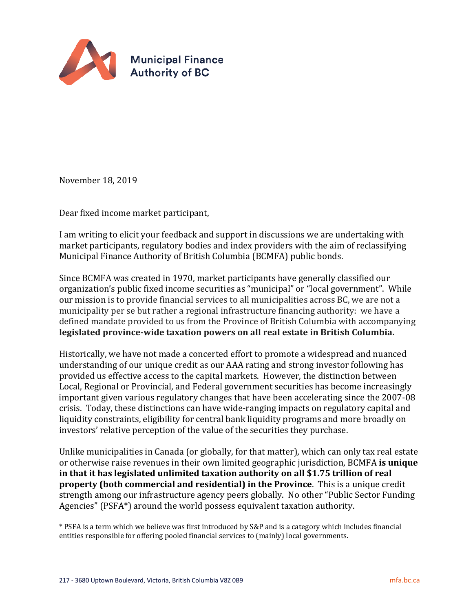

November 18, 2019

Dear fixed income market participant,

I am writing to elicit your feedback and support in discussions we are undertaking with market participants, regulatory bodies and index providers with the aim of reclassifying Municipal Finance Authority of British Columbia (BCMFA) public bonds.

Since BCMFA was created in 1970, market participants have generally classified our organization's public fixed income securities as "municipal" or "local government". While our mission is to provide financial services to all municipalities across BC, we are not a municipality per se but rather a regional infrastructure financing authority: we have a defined mandate provided to us from the Province of British Columbia with accompanying **legislated province-wide taxation powers on all real estate in British Columbia.**

Historically, we have not made a concerted effort to promote a widespread and nuanced understanding of our unique credit as our AAA rating and strong investor following has provided us effective access to the capital markets. However, the distinction between Local, Regional or Provincial, and Federal government securities has become increasingly important given various regulatory changes that have been accelerating since the 2007-08 crisis. Today, these distinctions can have wide-ranging impacts on regulatory capital and liquidity constraints, eligibility for central bank liquidity programs and more broadly on investors' relative perception of the value of the securities they purchase.

Unlike municipalities in Canada (or globally, for that matter), which can only tax real estate or otherwise raise revenues in their own limited geographic jurisdiction, BCMFA **is unique in that it has legislated unlimited taxation authority on all \$1.75 trillion of real property (both commercial and residential) in the Province**. This is a unique credit strength among our infrastructure agency peers globally. No other "Public Sector Funding Agencies" (PSFA\*) around the world possess equivalent taxation authority.

\* PSFA is a term which we believe was first introduced by S&P and is a category which includes financial entities responsible for offering pooled financial services to (mainly) local governments.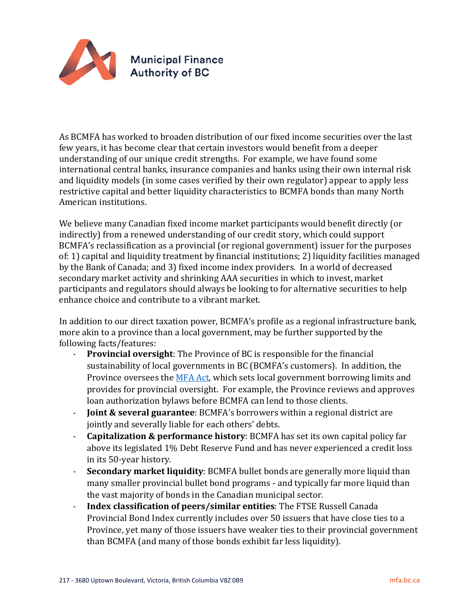

As BCMFA has worked to broaden distribution of our fixed income securities over the last few years, it has become clear that certain investors would benefit from a deeper understanding of our unique credit strengths. For example, we have found some international central banks, insurance companies and banks using their own internal risk and liquidity models (in some cases verified by their own regulator) appear to apply less restrictive capital and better liquidity characteristics to BCMFA bonds than many North American institutions.

We believe many Canadian fixed income market participants would benefit directly (or indirectly) from a renewed understanding of our credit story, which could support BCMFA's reclassification as a provincial (or regional government) issuer for the purposes of: 1) capital and liquidity treatment by financial institutions; 2) liquidity facilities managed by the Bank of Canada; and 3) fixed income index providers. In a world of decreased secondary market activity and shrinking AAA securities in which to invest, market participants and regulators should always be looking to for alternative securities to help enhance choice and contribute to a vibrant market.

In addition to our direct taxation power, BCMFA's profile as a regional infrastructure bank, more akin to a province than a local government, may be further supported by the following facts/features:<br>Provincial oversi

- **Provincial oversight:** The Province of BC is responsible for the financial sustainability of local governments in BC (BCMFA's customers). In addition, the Province oversees the [MFA Act,](http://www.bclaws.ca/EPLibraries/bclaws_new/document/ID/freeside/00_96325_01) which sets local government borrowing limits and provides for provincial oversight. For example, the Province reviews and approves loan authorization bylaws before BCMFA can lend to those clients.
- **Joint & several guarantee**: BCMFA's borrowers within a regional district are jointly and severally liable for each others' debts.
- **Capitalization & performance history**: BCMFA has set its own capital policy far above its legislated 1% Debt Reserve Fund and has never experienced a credit loss in its 50-year history.
- **Secondary market liquidity**: BCMFA bullet bonds are generally more liquid than many smaller provincial bullet bond programs - and typically far more liquid than the vast majority of bonds in the Canadian municipal sector.
- **Index classification of peers/similar entities**: The FTSE Russell Canada Provincial Bond Index currently includes over 50 issuers that have close ties to a Province, yet many of those issuers have weaker ties to their provincial government than BCMFA (and many of those bonds exhibit far less liquidity).